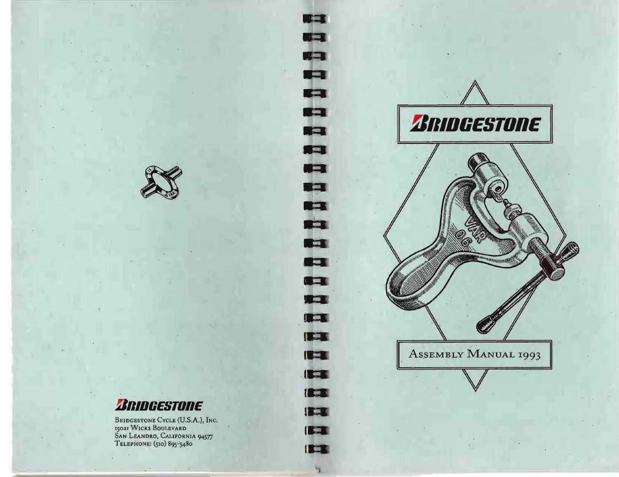

# *BRIDGESTONE*

Bridgestone Cycle (U.S.A.), Inc.<br>15021 Wicks Boulevard<br>San Leandro, California 94577<br>Telephone: (510) 895-5480



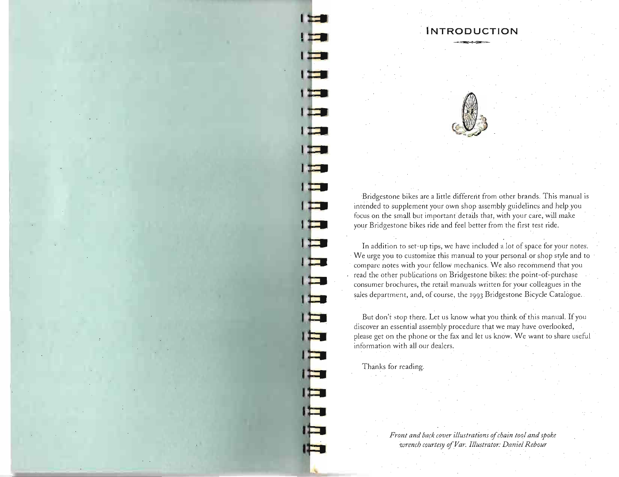

I ET

IE

l ta

IE

**INTRODUCTION** 

Bridgestone bikes are a little different from other brands. This manual is intended to supplement your own shop assembly guidelines and help you focus on the small but important details that, with your care, will make your Bridgestone bikes ride and feel better from the first test ride.

In addition to set-up tips, we have included a lot of space for your notes. We urge you to customize this manual to your personal or shop style and to compare notes with your fellow mechanics. We also recommend that you read the other publications on Bridgestone bikes: the point-of-purchase consumer brochures, thc retail manuals written for your colleagues in the sales department, and, of course, the 1993 Bridgestone Bicycle Catalogue.

But don't stop there. Let us know what you think of this manual. If you discover an essential assembly procedure that we may have overlooked, please get on the phone or the fax and let us know. We want to share useful information with all our dealers.

Thanks for reading.

*Front and back cover illustrations of chain tool and spoke wrench courtesy of Var. Illustrator: Daniel Rebour*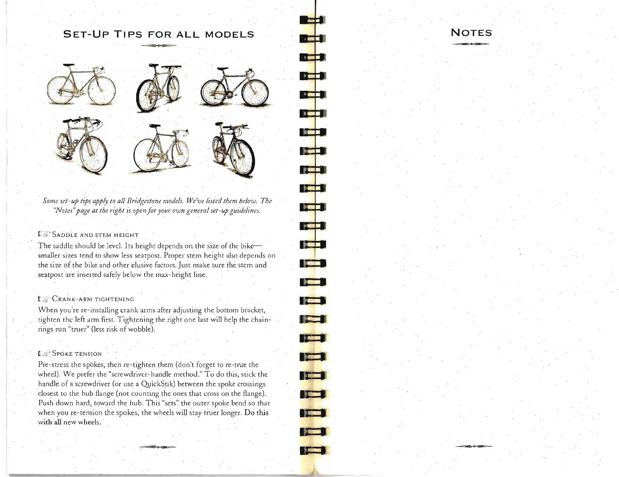## **SET-UP TIPS FOR ALL MODELS**



*Some set-up tips apply to all Bridgestone models. We've listed them below. The "Notes" page at the right is open for yom· own general set-up guideiines.* 

#### *L<sub>3</sub>* SADDLE AND STEM HEIGHT

The saddle should be level. Its height depends on the size of the bike- $$ smaller sizes tend to show less seatpost. Proper stem height also depends on the size of the bike and other elusive factors. Just make sure the stem and seatpost are inserted safely below the max-height line.

#### **t.\_** CRANK-ARM TIGHTENING

When you're re-installing crank arms after adjusting the bottom bracket, tighten the left arm first. Tightening the right one last will help the chainrings run "truer" (less risk of wobble).

#### **LE SPOKE TENSION**

Pre-stress the spokes, then re-tighten them (don't forget to re-true the wheel). We prefer the "screwdriver-handle method." To do this, stick the handle of a screwdriver (or use a QuickStik) between the spoke crossings closest to the hub flange (not counting the ones that cross on the flange). Push down hard, toward the hub. This "sets" the outer spoke bend so that when you re-tension the spokes, the wheels will stay truer longer. Do this with all new wheels.

### **NOTES**

 $\frac{1}{2}$ 

 $\sqrt{2\pi}$ 

**Radio** 

**Dett** 

**The Co** 

 $~\cdot$   $~\cdot$   $~\cdot$ 

--

**PEN** 

**PARTS** 

 $\blacksquare$ 

**.......** ~

**ROLL** 

**• .L** ..

**• I r** 

**• •** 

**. <sup>11</sup>** -**. ::L**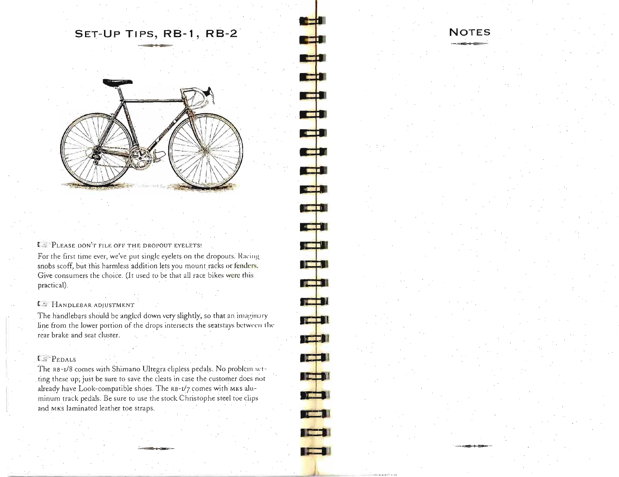# SET-UP TIPS, RB-1, RB-2



#### I PLEASE DON'T FILE OFF THE DROPOUT EYELETS!

For the first time ever, we've put single eyelets on the dropouts. Racing snobs scoff, but this harmless addition lets you mount racks or fenders. Give consumers the choice. (It used to be that all race bikes were this practical).

#### $\mathfrak{c}$  HANDLEBAR ADJUSTMENT

The handlebars should be angled down very slightly, so that an imaginary line from the lower portion of the drops intersects the seatstays between the rear brake and seat cluster.

#### **F** PEDALS

The RB-1/8 comes with Shimano Ultegra clipless pedals. No problem setting these up; just be sure to save the cleats in case the customer does not already have Look-compatible shoes. The RB-1/7 comes with MKS aluminum track pedals. Be sure to use the stock Christophe steel toe clips and MKs laminated leather toe straps.

**PERSONAL** 

**TEMP** 

الأكا

**THE REAL** 

**FOR 18** 

 $\sqrt{2}$ 

**STAR** 

 $\frac{1}{2}$ 

الأكل

 $\frac{1}{2}$ 

 $\frac{1}{2}$ 

<u> Jest II</u>

**TABLE** 

**TELE** 1

**TET 1** 

**The Pill** 

**The Exp** 

IEEN

**PERSONAL PROPERTY**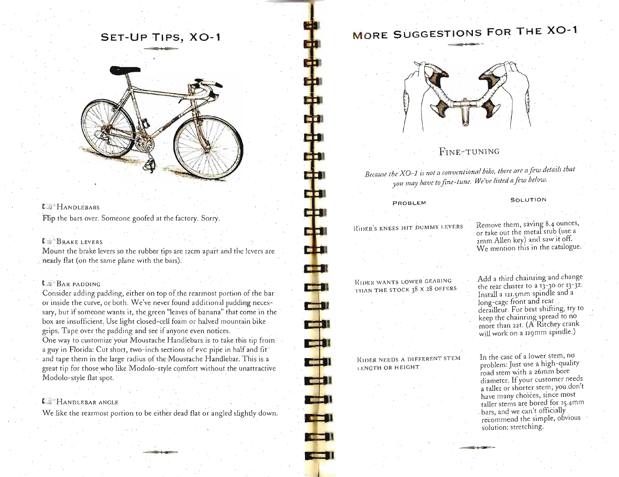# **SET-UP TIPS, XO-1**



Flip the bars over. Someone goofed at the factory. Sorry.

#### L BRAKE LEVERS Mount the brake levers so the rubber tips are 12cm apart and the rubber tips are 12cm apart and the levers are 12cm apart and the levers are 12cm apart and the levers are 12cm apart and the levers are 12cm apart and 12cm a

. Mount the brake levers so the rubber tips are iv

#### $\mathbb{S}^{\pi}$ Bar padding padding padding padding padding portion of the bar  $\mathbb{S}^{\pi}$

t .. <)" · BAR PADDlNG

onsider adding padding, either on top of the rearmost portion of the bar or inside the curve, or both. We've never found additional padding necessary, but if someone wants it, the green "leaves of banana" that come in the box are insufficient. Use light closed-cell foam or halved mountain bike grips. Tape over the padding and see if anyone even notices. One way to customize your Moustache Handlebars is to take this tip from a guy in Florida: Cut short, two-inch sections of  $\mathsf{Pvc}$  pipe in half and fit. and tape them in the large radius of the Moustache Handlebar. This is a great tip for those who like Modolo-style comfort without the unattractive Modolo-style flat spot.

--' HANDLEBAR ANGLE

**E.** Handlebar angle Hile there it here there is an interest the rearmost portion to be either dead flat or angled slightly down.

# **MORE SUGGESTIONS FOR THE XO-1**



#### FINE~TUNING

*Because the XO-J isnol a conventional bilee, there are a Jew details that XO-1* is not a conventional bike, there are a few deta

#### PROBLEM

PROBLEM

#### SOLUTION

SOLUTI ON

# **KIDER'S KNEES HIT DUMMY LEVERS**

RtI)}: R WA NTS LOWER GEARI N G

# RIDER WANTS LOWER GEARING<br>THAN THE STOCK 38 X 28 OFFERS

Remove them, saving 8.4 ounces, emove them, saving 8.4 ounces, or take out the metal stub (use a zmm Allen key) and saw it off.<br>We mention this in the catalogue.

Add a third chainring and change dd a third chainring and change the rear cluster to a  $13-30$  or  $13-32$ . Install a 121.5mm spindle and a<br>long-cage front and rear derailleur. For best shifting, try to keep the chainring spread to no more than 22t. (A Ritchey crank<br>will work on a 119mm spindle.)

#### RIDER NEEDS A DIFFERENT STEM LENGTH OR HEIGHT

R I DER NEEDS A DIFFER ENT STEMMEN ENT STEMME

**m:;::Il** 

E 11

**DE DI** 

**CES**I

E

الإص

**CEED!** 

**CELL** 

n the case of a lower stem, no problem: Just use a high-quality road stem with a 26mm bore diameter. If your customer needs a taller or shorter stem, you don't have many choices, since most taller stems are bored for 25.4mm bars, and we can't officially recommend the simple, obvious<br>solution: stretching.

In the case of a lower stem, note that  $\mathcal{O}(n)$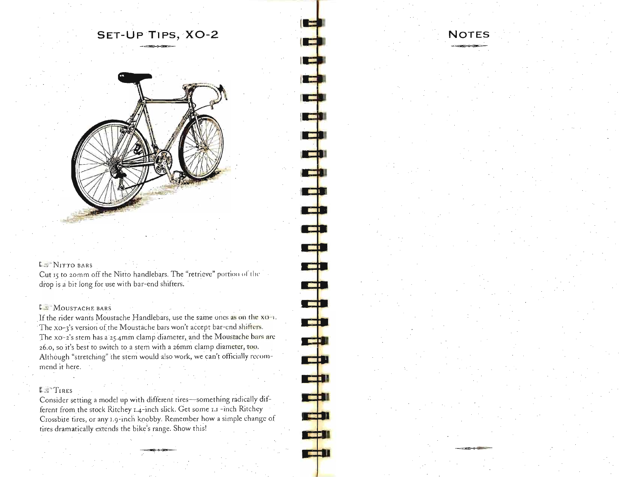**SET-UP T1PS,XO-2** 

#### L<sub>2</sub> NITTO BARS

Cut 15 to 20mm off the Nitto handlebars. The "retrieve" portion of the drop is a bit long for use with bar-end shifters.

#### **L.** MOUSTACHE BARS

If the rider wants Moustache Handlebars, use the same ones as on the  $xo-1$ . The xo-3's version of the Moustache bars won't accept bar-end shifters. The xo-2's stem has a 25.4mm clamp diameter, and the Moustache bars are 26.0, so it's best to switch to a stem with a 26mm clamp diameter, too. Although "stretching" the stem would also work, we can't officially recommend it here.

### 1; 1' TIRES

Consider setting a model up with different tires-something radically different from the stock Ritchey 1.4-inch slick. Get some 1.1 -inch Ritchey Crossbite tires, or any i.9-inch knobby. Remember how a simple change of tires dramatically extends the bike's range. Show this!

### **NOTES**

 $\overline{a}$ 

**TET** 

CIL

**TED** 

r p

**TELE** 

<u>rei</u>

 $\sqrt{2}$ 

**TELEVISION**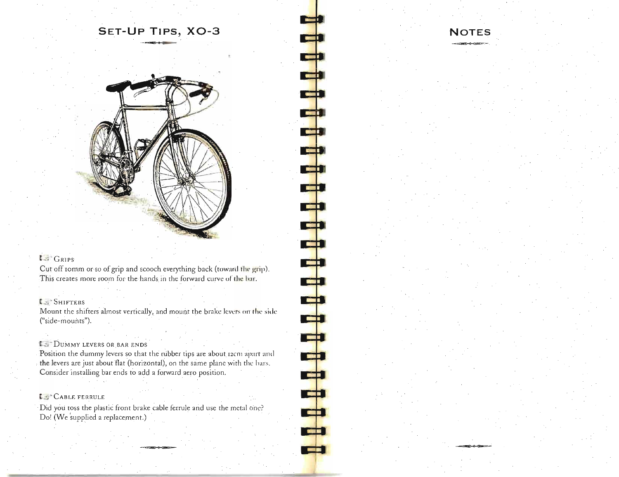

里

بص

**Read** 

**REGISTER** 

**COLOR** 

**THE R** 

**TER** 

**CD** 

 $\Rightarrow$ 

¢

 $\overline{\phantom{a}}$ 

**THE** 

**TEED** 

لبق

**COLOR** 

### $\mathbf{L}$  GRIPS

Cut off romm or so of grip and scooch everything back (toward the grip). This creates more room for the hands in the forward curve of the bar.

#### **C** SHIFTERS

Mount the shifters almost vertically, and mount the brake levers on the side ("side-mounts").

#### **IS DUMMY LEVERS OR BAR ENDS**

Position the dummy levers so that the rubber tips are about 12cm apart and the levers are just about flat (horizontal), on the same plane with the bars. Consider installing bar ends to add a forward aero position.

#### L S'CABLE FERRULE

Did you toss the plastic front brake cable ferrule and use the metal one? Do! (We supplied a replacement.)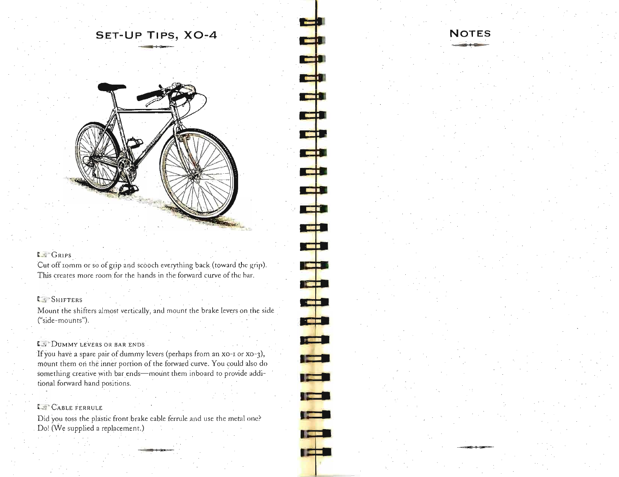# **SET-UP TIPS, XO-4**

**...** ...... **••** - **NOTES** 

- <sup>~</sup>

-,- **-.** --

- --

**COLOR** 

<u>ran</u>

المتباري

م <mark>ہے</mark>

**TEMP** 

~

**TEST** 

**KET** 

**The Co** 

**The Common** 

**- ->-- -**

•



#### C *;'-ci* GRIPS

Cut off romm or so of grip and scooch everything back (toward the grip). This creates more room for the hands in the forward curve of the har.

#### C-SHIFTERS

Mount the shifters almost vertically, and mount the brake levers on the side ("side-mounts").

#### **LA** DUMMY LEVERS OR BAR ENDS

If you have a spare pair of dummy levers (perhaps from an XO-I or XO-3), mount them ori the inner portion of the forward curve. You could also do something creative with bar ends-mount them inboard to provide additional forward hand positions.

### **E " CABLE FERRULE**

Did you toss the plastic front brake cable ferrule and use the metal one? Do! (We supplied a replacement.)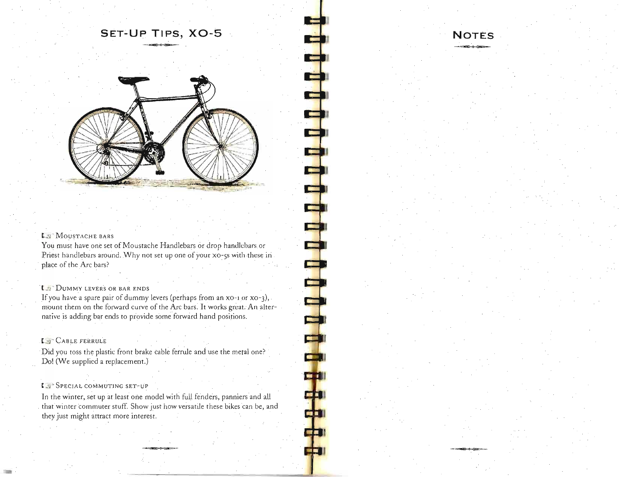# **SET-Up TIPS, XO-5**



**TELEVISION** 

O

m

**CTO** 

du

#### LE<sup>.</sup>MOUSTACHE BARS

You must have one set of Moustache Handlebars or drop handlebars or Priest handlebars around. Why not set up one of your xo-5s with these in place of the Arc bars?

#### **t.** DUMMY LEVERS OR BAR ENDS

If you have a spare pair of dummy levers (perhaps from an xo-1 or xo-3), mount them on the forward curve of the Arc bars: It works great. An alternative is adding bar ends to provide some forward hand positions.

#### L<sup>O</sup> CABLE FERRULE

Did you toss the plastic front brake cable ferrule and use the metal one? Do! (We supplied a replacement.)

#### [ ~ .. SPECIAL COMMUTING SET-UP

In the winter, set up at least one model with full fenders, panniers and all that winter commuter stuff. Show just how versatile these bikes can be, and they just might attract more interest.

# **NOTES**  -~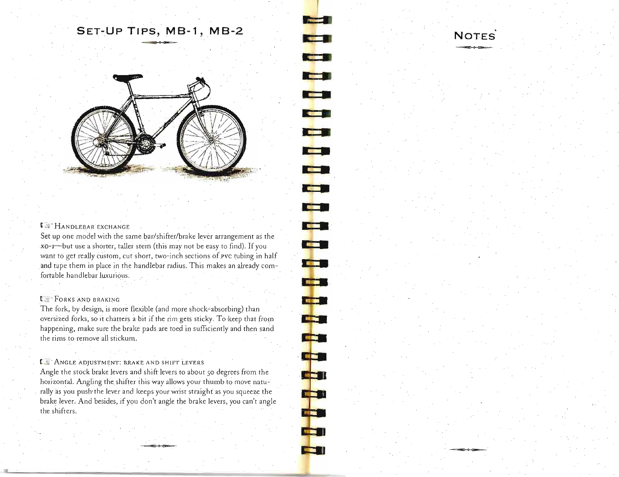# **SET-UP TIPS, MB-1, MB-2**

**• •** 

**The Second Second** 

**• •** 

**.. •** 

**I" •** 

**<sup>r</sup>•** 

**.. •** 

.. **•** -! <sup>~</sup>

**RESP** 

**COL** 

l. <sup>a</sup>,  $\mathbf{F}$ 

 $\mathbf{r}$ 

id 11

**III J** 

> ~ **:.** i

**• •** 

**• •** 

**I •** 

**NOTES** 



#### **E** S HANDLEBAR EXCHANGE

Set up one model with the same bar/shifter/brake lever arrangement as the xO-I-but use a shorter, taller stem (this may not be easy to find). If you want to get really custom, cut short, two-inch sections of pvc tubing in half and tape them in place in the handlebar radius. This makes an already comfortable handlebar luxurious.

#### **LET FORKS AND BRAKING**

The fork, by design, is more flexible (and more shock-absorbing) than oversized forks, so it chatters a bit if the rim gets sticky. To keep that from happening, make sure the brake pads are toed in sufficiently and then sand the rims to remove all stickum.

#### **I. ANGLE ADJUSTMENT: BRAKE AND SHIFT LEVERS**

Angle the stock brake levers and shift levers to about 50 degrees from the horizontal. Angling the shifter this way allows your thumb to move naturally as you push the lever and keeps you straight straight: as you show the level of the level of the level of brake lever. And besides, jf you don't angle the brake levers, you squeeze the brake levers, and the brake levers, and the start brake lever. And besides, if you don't angle the brake levers, you can't angle the shifters.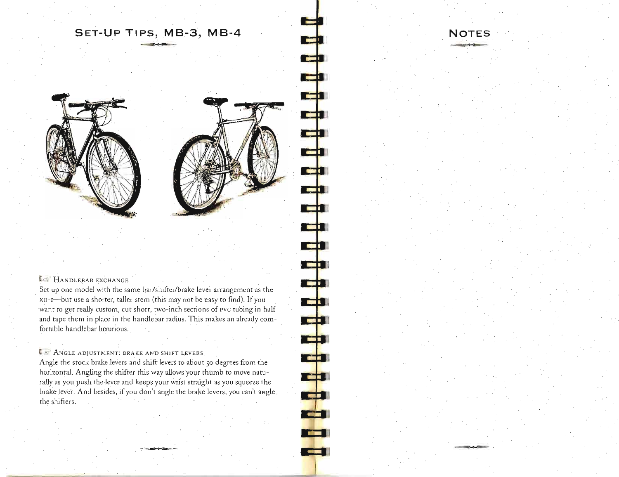# **SET-UP TIPS, MB-3, MB-4**

**NOTES** 



#### **HANDLEBAR EXCHANGE**

Set up one model with the same bar/shifter/brake lever arrangement as the xO-I-but use a shorter, taller stem (this may not be easy to find). **If** you want to get really custom, cut short, two-inch sections of pvc tubing in half and tape them in place in the handlebar radius. This makes an already comfortable handlebar luxurious.

#### **LET ANGLE ADJUSTMENT: BRAKE AND SHIFT LEVERS**

Angle the stock brake levers and shift levers to about 50 degrees from the horizontal. Angling the shifter this way allows your thumb to move naturally as you push the lever and keeps your wrist straight as you squeeze the brake lever. And besides, if you don't angle the brake levers, you can't angle. the shifters.

**• •** 

t۰

**TEST** 

rd

الأكا

Cil

**Report** 

**Tarif** 

Cþ

البكا

Ep

teb

**LED** 

الأعا

**TELE** 

TE 1

فأكا

**EXTERN** 

**•**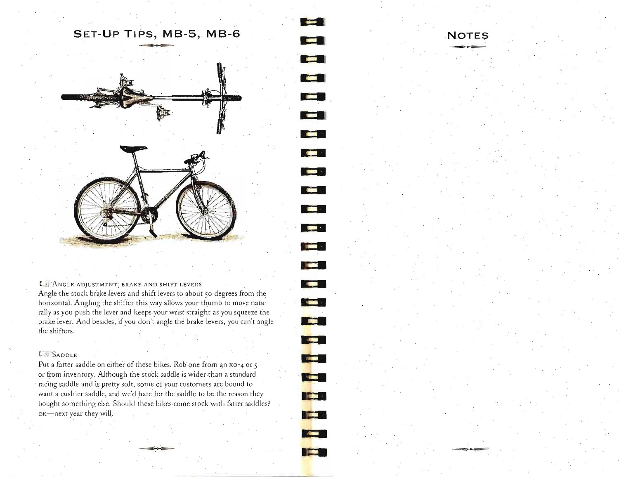# **SET-UP TIPS, MB-5, MB-6**



#### I :: ANGLE ADJUSTMENT: BRAKE AND SHIFT LEVERS

Angle the stock brake levers and shift levers to about 50 degrees from the horizontal. Angling the shifter this way allows your thumb to move naturally as you push the lever and keeps your wrist straight as you squeeze the brake lever. And besides, if you don't angle the brake levers, you can't angle · the shifters.

#### $L$   $SADDLE$

Put a fatter saddle on either of these bikes. Rob one from an x0-4 or 5 or from inventory. Although the stock saddle is wider than a standard racing saddle and is pretty soft, some of your customers ate bound to Want a cushier saddle, and we'd hate for the saddle to be the reason they bought something else. Should these bikes come stock with fatter saddles? ok-next year they will.

# ~ **NOTES** Iil <sup>~</sup>

**• • • •** 

ia al

 $-11.5$ 

**.....** 

**• •** 

**• •** 

**K •** 

**• •** 

**• •** 

n e s

**• • • •** 

**.: • • • • •** 

• **•** 

**PERSONAL PROPERTY The F** 

**The Li TABLE**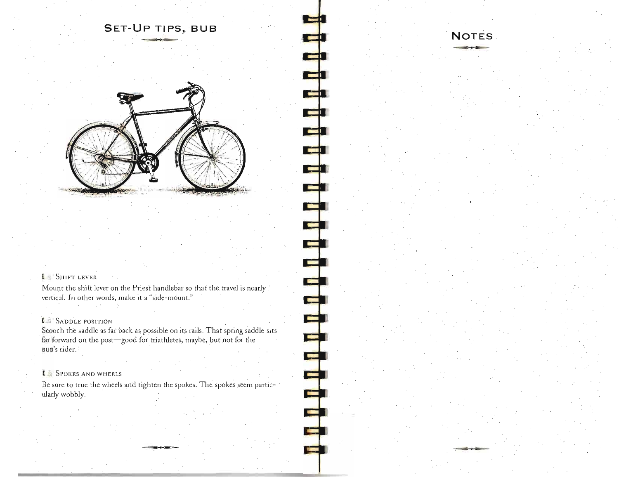# **SET-UP TIPS, BUB**



#### **L SHIFT LEVER**

Mount the shift lever on the Priest handlebar so that the travel is nearly ( vertical. In other words, make it a "side-mount."

#### *L* SADDLE POSITION

Scooch the saddle as fat back as possible on its rails. That spring saddle sits far forward on the post-good for triathletes, maybe, but not for the Bun's rider.

#### **I** SPOKES AND WHEELS

Be sure to true the wheels and tighten the spokes. The spokes seem particularly wobbly.

محدد

# **NOTES**

**---**

**11111** 

E

ch

다 لأكيل 2 Ŧ

**- 11111111111** 

ا ہے<br>الی

\$ tan a